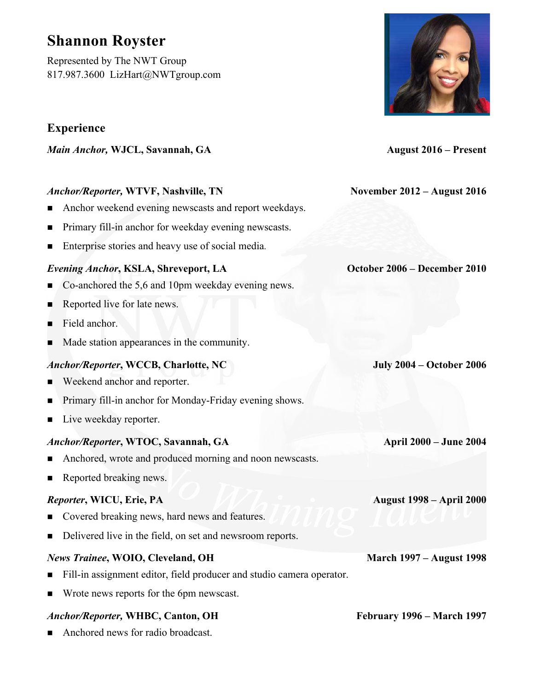# **Shannon Royster**

Represented by The NWT Group 817.987.3600 LizHart@NWTgroup.com

### **Experience**

*Main Anchor,* WJCL, Savannah, GA **August 2016** – Present

#### *Anchor/Reporter,* **WTVF, Nashville, TN November 2012 – August 2016**

- n Anchor weekend evening newscasts and report weekdays.
- Primary fill-in anchor for weekday evening newscasts.
- Enterprise stories and heavy use of social media.

#### *Evening Anchor***, KSLA, Shreveport, LA October 2006 – December 2010**

- Co-anchored the 5,6 and 10pm weekday evening news.
- Reported live for late news.
- Field anchor.
- Made station appearances in the community.

#### *Anchor/Reporter***, WCCB, Charlotte, NC July 2004 – October 2006**

- Weekend anchor and reporter.
- Primary fill-in anchor for Monday-Friday evening shows.
- $\blacksquare$  Live weekday reporter.

#### *Anchor/Reporter***, WTOC, Savannah, GA April 2000 – June 2004**

- Anchored, wrote and produced morning and noon newscasts.
- **n** Reported breaking news.

#### *Reporter***, WICU, Erie, PA August 1998 – April 2000**

- Covered breaking news, hard news and features.
- n Delivered live in the field, on set and newsroom reports.

#### *News Trainee***, WOIO, Cleveland, OH March 1997 – August 1998**

- n Fill-in assignment editor, field producer and studio camera operator.
- Wrote news reports for the 6pm newscast.

#### *Anchor/Reporter,* **WHBC, Canton, OH February 1996 – March 1997**

Anchored news for radio broadcast.